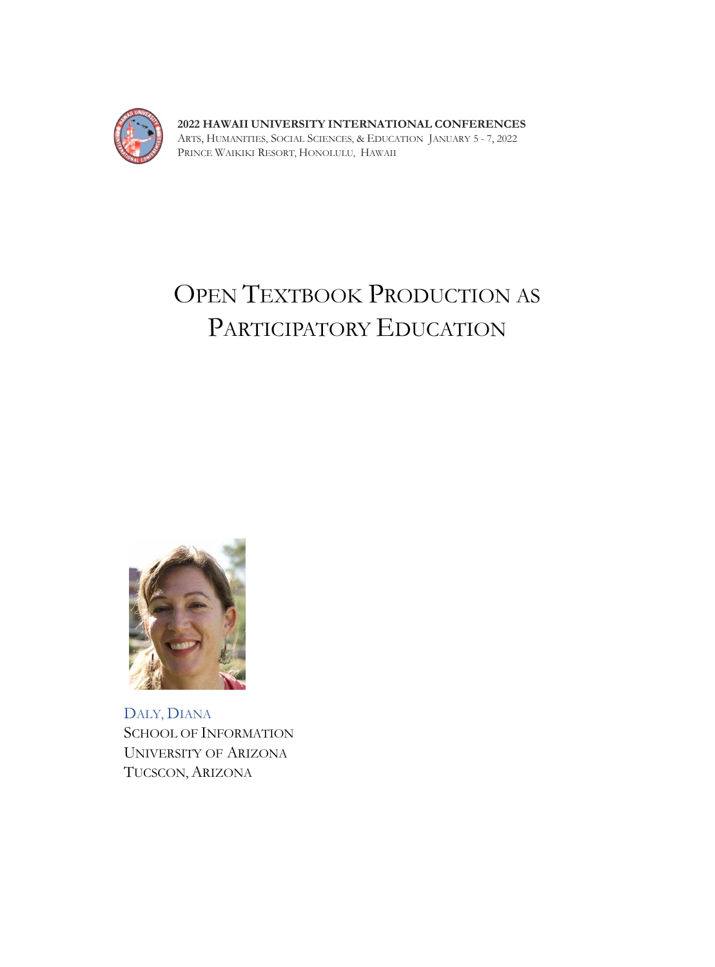

**2022 HAWAII UNIVERSITY INTERNATIONAL CONFERENCES**  ARTS, HUMANITIES, SOCIAL SCIENCES, & EDUCATION JANUARY 5 - 7, 2022 PRINCE WAIKIKI RESORT, HONOLULU, HAWAII

# OPEN TEXTBOOK PRODUCTION AS PARTICIPATORY EDUCATION



DALY, DIANA SCHOOL OF INFORMATION UNIVERSITY OF ARIZONA TUCSCON, ARIZONA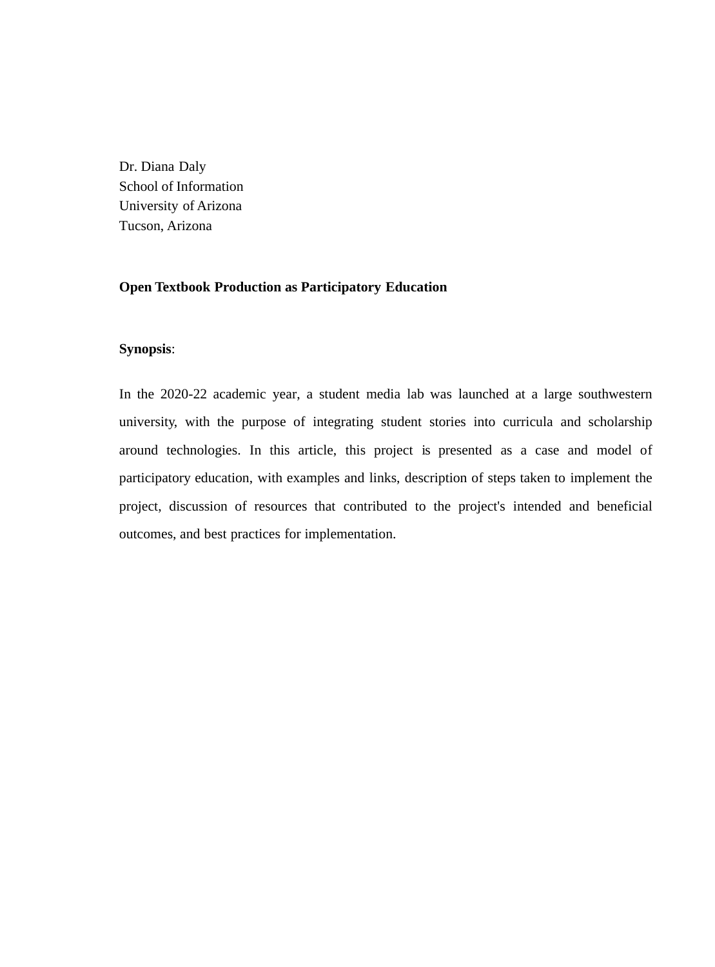Dr. Diana Daly School of Information University of Arizona Tucson, Arizona

### **Open Textbook Production as Participatory Education**

## **Synopsis**:

In the 2020-22 academic year, a student media lab was launched at a large southwestern university, with the purpose of integrating student stories into curricula and scholarship around technologies. In this article, this project is presented as a case and model of participatory education, with examples and links, description of steps taken to implement the project, discussion of resources that contributed to the project's intended and beneficial outcomes, and best practices for implementation.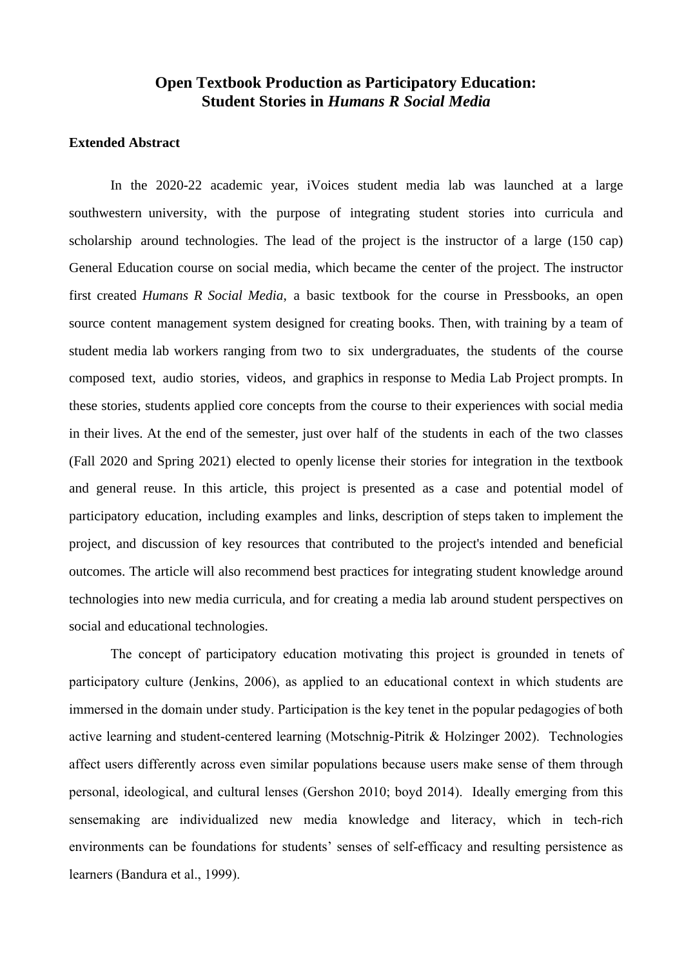# **Open Textbook Production as Participatory Education: Student Stories in** *Humans R Social Media*

### **Extended Abstract**

In the 2020-22 academic year, iVoices student media lab was launched at a large southwestern university, with the purpose of integrating student stories into curricula and scholarship around technologies. The lead of the project is the instructor of a large (150 cap) General Education course on social media, which became the center of the project. The instructor first created *Humans R Social Media*, a basic textbook for the course in Pressbooks, an open source content management system designed for creating books. Then, with training by a team of student media lab workers ranging from two to six undergraduates, the students of the course composed text, audio stories, videos, and graphics in response to Media Lab Project prompts. In these stories, students applied core concepts from the course to their experiences with social media in their lives. At the end of the semester, just over half of the students in each of the two classes (Fall 2020 and Spring 2021) elected to openly license their stories for integration in the textbook and general reuse. In this article, this project is presented as a case and potential model of participatory education, including examples and links, description of steps taken to implement the project, and discussion of key resources that contributed to the project's intended and beneficial outcomes. The article will also recommend best practices for integrating student knowledge around technologies into new media curricula, and for creating a media lab around student perspectives on social and educational technologies.

The concept of participatory education motivating this project is grounded in tenets of participatory culture (Jenkins, 2006), as applied to an educational context in which students are immersed in the domain under study. Participation is the key tenet in the popular pedagogies of both active learning and student-centered learning (Motschnig-Pitrik & Holzinger 2002). Technologies affect users differently across even similar populations because users make sense of them through personal, ideological, and cultural lenses (Gershon 2010; boyd 2014). Ideally emerging from this sensemaking are individualized new media knowledge and literacy, which in tech-rich environments can be foundations for students' senses of self-efficacy and resulting persistence as learners (Bandura et al., 1999).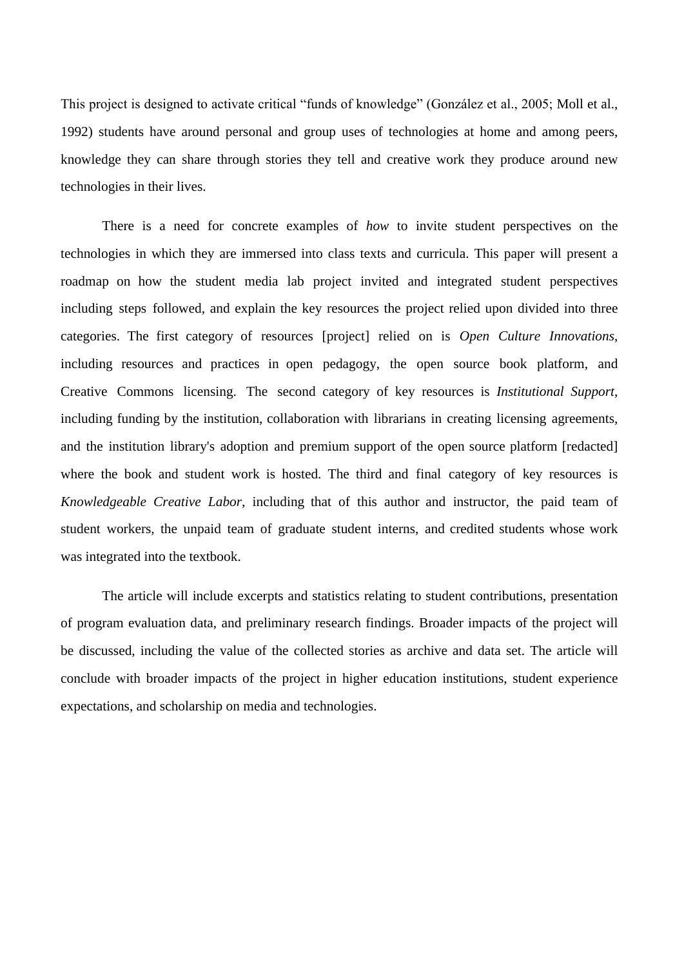This project is designed to activate critical "funds of knowledge" (González et al., 2005; Moll et al., 1992) students have around personal and group uses of technologies at home and among peers, knowledge they can share through stories they tell and creative work they produce around new technologies in their lives.

There is a need for concrete examples of *how* to invite student perspectives on the technologies in which they are immersed into class texts and curricula. This paper will present a roadmap on how the student media lab project invited and integrated student perspectives including steps followed, and explain the key resources the project relied upon divided into three categories. The first category of resources [project] relied on is *Open Culture Innovations*, including resources and practices in open pedagogy, the open source book platform, and Creative Commons licensing. The second category of key resources is *Institutional Support*, including funding by the institution, collaboration with librarians in creating licensing agreements, and the institution library's adoption and premium support of the open source platform [redacted] where the book and student work is hosted. The third and final category of key resources is *Knowledgeable Creative Labor*, including that of this author and instructor, the paid team of student workers, the unpaid team of graduate student interns, and credited students whose work was integrated into the textbook.

The article will include excerpts and statistics relating to student contributions, presentation of program evaluation data, and preliminary research findings. Broader impacts of the project will be discussed, including the value of the collected stories as archive and data set. The article will conclude with broader impacts of the project in higher education institutions, student experience expectations, and scholarship on media and technologies.